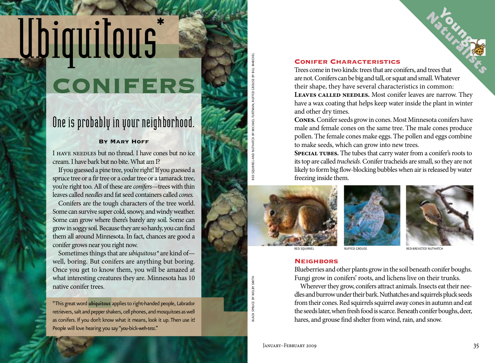# **UPIQUITOUS**

# One is probably in your neighborhood.

## **By Mary Hoff**

I have needles but no thread. I have cones but no ice cream. I have bark but no bite. What am I?

If you guessed a pine tree, you're right! If you guessed a spruce tree or a fir tree or a cedar tree or a tamarack tree, you're right too. All of these are *conifers*—trees with thin leaves called *needles* and fat seed containers called *cones.*

Conifers are the tough characters of the tree world. Some can survive super cold, snowy, and windy weather. Some can grow where there's barely any soil. Some can grow in soggy soil. Because they are so hardy, you can find them all around Minnesota. In fact, chances are good a conifer grows near you right now.

Sometimes things that are *ubiquitous\** are kind of well, boring. But conifers are anything but boring. Once you get to know them, you will be amazed at what interesting creatures they are. Minnesota has 10 native conifer trees.

\*This great word *ubiquitous* applies to right-handed people, Labrador retrievers, salt and pepper shakers, cell phones, and mosquitoes as well as conifers. If you don't know what it means, look it up. Then use it! People will love hearing you say "*you-*bick*-weh-tess*."

## **Conifer Characteristics**

Trees come in two kinds: trees that are conifers, and trees that are not. Conifers can be big and tall, or squat and small. Whatever their shape, they have several characteristics in common: **Leaves called needles.** Most conifer leaves are narrow. They have a wax coating that helps keep water inside the plant in winter and other dry times.

**Cones.** Conifer seeds grow in cones. Most Minnesota conifers have male and female cones on the same tree. The male cones produce pollen. The female cones make eggs. The pollen and eggs combine to make seeds, which can grow into new trees.

SPECIAL TUBES. The tubes that carry water from a conifer's roots to its top are called *tracheids.* Conifer tracheids are small, so they are not likely to form big flow-blocking bubbles when air is released by water freezing inside them.







### **Neighbors**

Blueberries and other plants grow in the soil beneath conifer boughs. Fungi grow in conifers' roots, and lichens live on their trunks.

Wherever they grow, conifers attract animals. Insects eat their needles and burrow under their bark. Nuthatches and squirrels pluck seeds from their cones. Red squirrels squirrel away cones in autumn and eat the seeds later, when fresh food is scarce. Beneath conifer boughs, deer, hares, and grouse find shelter from wind, rain, and snow.

black spruce by welby smith

**ILACK SPRUCE BY WELBY SMITH** 

Red Squirrel and Nuthatch by Michael Furtman; Ruffed Grouse by Bill Marchel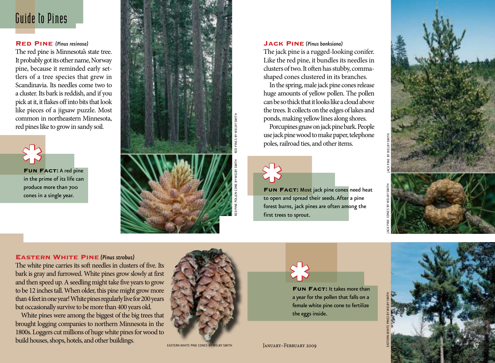## Guide to Pines

## **Red Pine** *(Pinus resinosa)*

The red pine is Minnesota's state tree. It probably got its other name, Norway pine, because it reminded early set tlers of a tree species that grew in Scandinavia. Its needles come two to a cluster. Its bark is reddish, and if you pick at it, it flakes off into bits that look like pieces of a jigsaw puzzle. Most common in northeastern Minnesota, red pines like to grow in sandy soil.



in the prime of its life can produce more than 700 cones in a single year.



## **Jack Pine** *(Pinus banksiana)*

The jack pine is a rugged-looking conifer. Like the red pine, it bundles its needles in clusters of two. It often has stubby, commashaped cones clustered in its branches.

In the spring, male jack pine cones release huge amounts of yellow pollen. The pollen can be so thick that it looks like a cloud above the trees. It collects on the edges of lakes and ponds, making yellow lines along shores.

Porcupines gnaw on jack pine bark. People use jack pine wood to make paper, telephone poles, railroad ties, and other items.

**FUN FACT:** Most jack pine cones need heat to open and spread their seeds. After a pine forest burns, jack pines are often among the first trees to sprout.



## **Eastern White Pine** *(Pinus strobus)*

The white pine carries its soft needles in clusters of five. Its bark is gray and furrowed. White pines grow slowly at first and then speed up. A seedling might take five years to grow to be 12 inches tall. When older, this pine might grow more than 4 feet in one year! White pines regularly live for 200 years but occasionally survive to be more than 400 years old. **FUN FACT:** A red pine<br>in the prime of its life can<br>produce more than 700<br>cones in a single year.<br>**EASTERN WHITE PINE (Pinus strobus)**<br>The white pine carries its soft needles in cluster<br>bark is gray and furrowed. White pin

White pines were among the biggest of the big trees that brought logging companies to northern Minnesota in the 1800s. Loggers cut millions of huge white pines for wood to



EASTERN WHITE PINE CONES



**Fun Fact:** It takes more than a year for the pollen that falls on a female white pine cone to fertilize the eggs inside.



February 2009<br>February 2009 \* **JANUARY-FEBRUARY 2009**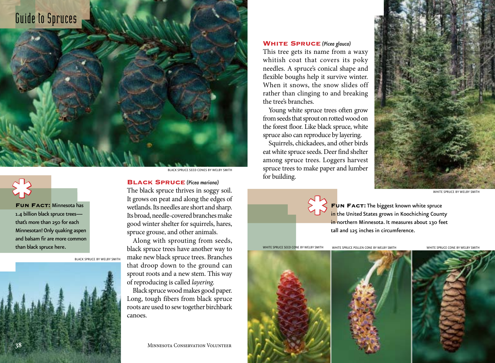# Guide to Spruces

**Fun Fact:** Minnesota has 1.4 billion black spruce trees that's more than 250 for each Minnesotan! Only quaking aspen and balsam fir are more common than black spruce here.

\* black spruce by welby smith

black spruce Seed cones by welby smith

## **Black Spruce** *(Picea mariana)*

The black spruce thrives in soggy soil. It grows on peat and along the edges of wetlands. Its needles are short and sharp. Its broad, needle-covered branches make good winter shelter for squirrels, hares, spruce grouse, and other animals.

Along with sprouting from seeds, black spruce trees have another way to make new black spruce trees. Branches that droop down to the ground can sprout roots and a new stem. This way of reproducing is called *layering.* 

Black spruce wood makes good paper. Long, tough fibers from black spruce roots are used to sew together birchbark canoes.

**38** Minnesota Conservation Volunteer

## **White Spruce** *(Picea glauca)*

This tree gets its name from a waxy whitish coat that covers its poky needles. A spruce's conical shape and flexible boughs help it survive winter. When it snows, the snow slides off rather than clinging to and breaking the tree's branches.

Young white spruce trees often grow from seeds that sprout on rotted wood on the forest floor. Like black spruce, white spruce also can reproduce by layering.

Squirrels, chickadees, and other birds eat white spruce seeds. Deer find shelter among spruce trees. Loggers harvest spruce trees to make paper and lumber for building.



WHITE SPRUCE BY WELBY SMITH

**Fun Fact:** The biggest known white spruce in the United States grows in Koochiching County in northern Minnesota. It measures about 130 feet tall and 125 inches in circumference.

white spruce Seed cone by welby smith white spruce pollen cone by welby smith white spruce cone by welby smith



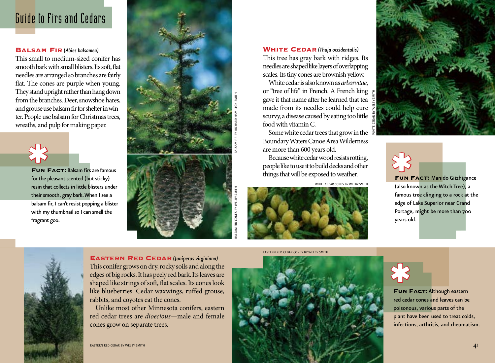# Guide to Firs and Cedars

## **Balsam Fir** *(Abies balsamea)*

This small to medium-sized conifer has smooth bark with small blisters. Its soft, flat needles are arranged so branches are fairly flat. The cones are purple when young. They stand upright rather than hang down from the branches. Deer, snowshoe hares, and grouse use balsam fir for shelter in winter. People use balsam for Christmas trees, wreaths, and pulp for making paper.



**Fun Fact:** Balsam firs are famous for the pleasant-scented (but sticky) resin that collects in little blisters under their smooth, gray bark. When I see a balsam fir, I can't resist popping a blister with my thumbnail so I can smell the fragrant goo.





BALSAM FIR CONES BY WELBY SMITH BALSAM FIR BY RICHARD HAMILTON SMITH

**WHITE CEDAR** (Thuja occidentalis) This tree has gray bark with ridges. Its needles are shaped like layers of overlapping scales. Its tiny cones are brownish yellow.

White cedar is also known as *arborvitae*, or "tree of life" in French. A French king gave it that name after he learned that tea made from its needles could help cure scurvy, a disease caused by eating too little food with vitamin C.

Some white cedar trees that grow in the Boundary Waters Canoe Area Wilderness are more than 600 years old.

Because white cedar wood resists rotting, people like to use it to build decks and other things that will be exposed to weather.

white cedar cones by welby smith



**EASTERN RED CEDAR CONES BY WELBY SMITH** 





**Fun Fact:** Manido Giizhigance (also known as the Witch Tree), a famous tree clinging to a rock at the edge of Lake Superior near Grand Portage, might be more than 700 years old.

**Fun Fact:** Although eastern red cedar cones and leaves can be poisonous, various parts of the plant have been used to treat colds, infections, arthritis, and rheumatism.

FUN FA<br>red cedar opisonous<br>plant have<br>infections.



**Eastern Red Cedar** *(Juniperus virginiana)* This conifer grows on dry, rocky soils and along the edges of big rocks. It has peely red bark. Its leaves are shaped like strings of soft, flat scales. Its cones look like blueberries. Cedar waxwings, ruffed grouse, rabbits, and coyotes eat the cones.

Unlike most other Minnesota conifers, eastern red cedar trees are *dioecious*—male and female cones grow on separate trees.

eastern red cedar by welby smith